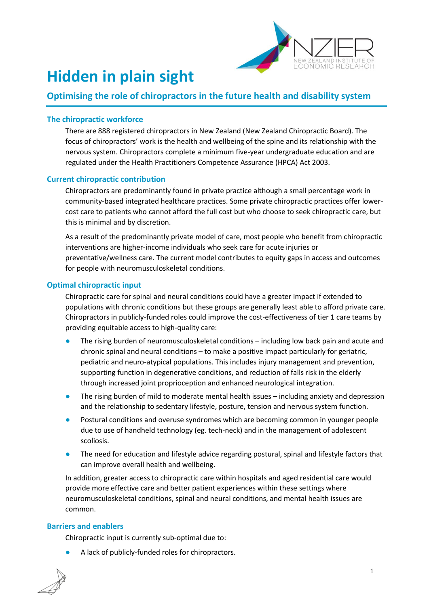

# **Hidden in plain sight**

# **Optimising the role of chiropractors in the future health and disability system**

# **The chiropractic workforce**

There are 888 registered chiropractors in New Zealand (New Zealand Chiropractic Board). The focus of chiropractors' work is the health and wellbeing of the spine and its relationship with the nervous system. Chiropractors complete a minimum five-year undergraduate education and are regulated under the Health Practitioners Competence Assurance (HPCA) Act 2003.

#### **Current chiropractic contribution**

Chiropractors are predominantly found in private practice although a small percentage work in community-based integrated healthcare practices. Some private chiropractic practices offer lowercost care to patients who cannot afford the full cost but who choose to seek chiropractic care, but this is minimal and by discretion.

As a result of the predominantly private model of care, most people who benefit from chiropractic interventions are higher-income individuals who seek care for acute injuries or preventative/wellness care. The current model contributes to equity gaps in access and outcomes for people with neuromusculoskeletal conditions.

#### **Optimal chiropractic input**

Chiropractic care for spinal and neural conditions could have a greater impact if extended to populations with chronic conditions but these groups are generally least able to afford private care. Chiropractors in publicly-funded roles could improve the cost-effectiveness of tier 1 care teams by providing equitable access to high-quality care:

- The rising burden of neuromusculoskeletal conditions including low back pain and acute and chronic spinal and neural conditions – to make a positive impact particularly for geriatric, pediatric and neuro-atypical populations. This includes injury management and prevention, supporting function in degenerative conditions, and reduction of falls risk in the elderly through increased joint proprioception and enhanced neurological integration.
- The rising burden of mild to moderate mental health issues including anxiety and depression and the relationship to sedentary lifestyle, posture, tension and nervous system function.
- Postural conditions and overuse syndromes which are becoming common in younger people due to use of handheld technology (eg. tech-neck) and in the management of adolescent scoliosis.
- The need for education and lifestyle advice regarding postural, spinal and lifestyle factors that can improve overall health and wellbeing.

In addition, greater access to chiropractic care within hospitals and aged residential care would provide more effective care and better patient experiences within these settings where neuromusculoskeletal conditions, spinal and neural conditions, and mental health issues are common.

#### **Barriers and enablers**

Chiropractic input is currently sub-optimal due to:

A lack of publicly-funded roles for chiropractors.